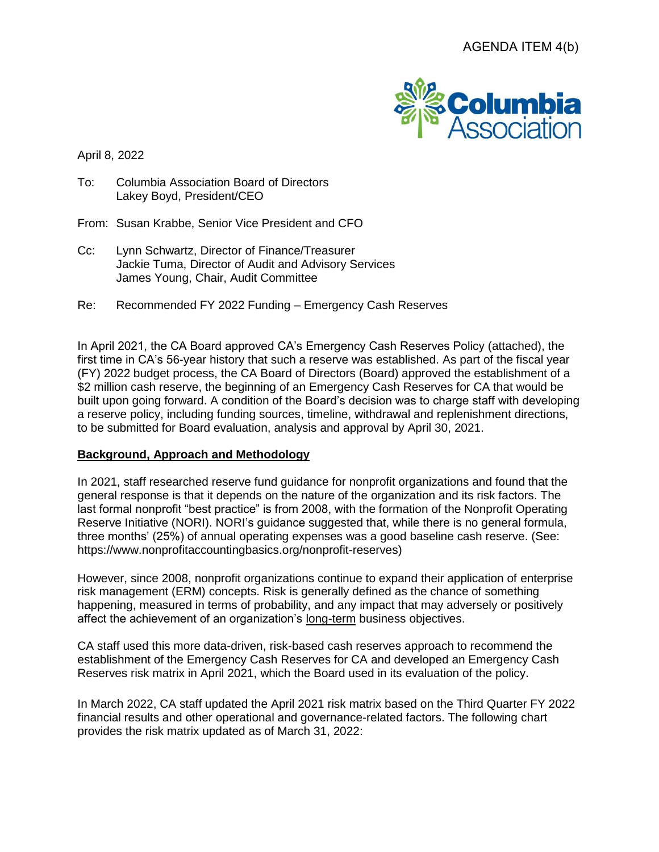

April 8, 2022

- To: Columbia Association Board of Directors Lakey Boyd, President/CEO
- From: Susan Krabbe, Senior Vice President and CFO
- Cc: Lynn Schwartz, Director of Finance/Treasurer Jackie Tuma, Director of Audit and Advisory Services James Young, Chair, Audit Committee
- Re: Recommended FY 2022 Funding Emergency Cash Reserves

In April 2021, the CA Board approved CA's Emergency Cash Reserves Policy (attached), the first time in CA's 56-year history that such a reserve was established. As part of the fiscal year (FY) 2022 budget process, the CA Board of Directors (Board) approved the establishment of a \$2 million cash reserve, the beginning of an Emergency Cash Reserves for CA that would be built upon going forward. A condition of the Board's decision was to charge staff with developing a reserve policy, including funding sources, timeline, withdrawal and replenishment directions, to be submitted for Board evaluation, analysis and approval by April 30, 2021.

#### **Background, Approach and Methodology**

In 2021, staff researched reserve fund guidance for nonprofit organizations and found that the general response is that it depends on the nature of the organization and its risk factors. The last formal nonprofit "best practice" is from 2008, with the formation of the Nonprofit Operating Reserve Initiative (NORI). NORI's guidance suggested that, while there is no general formula, three months' (25%) of annual operating expenses was a good baseline cash reserve. (See: https://www.nonprofitaccountingbasics.org/nonprofit-reserves)

However, since 2008, nonprofit organizations continue to expand their application of enterprise risk management (ERM) concepts. Risk is generally defined as the chance of something happening, measured in terms of probability, and any impact that may adversely or positively affect the achievement of an organization's long-term business objectives.

CA staff used this more data-driven, risk-based cash reserves approach to recommend the establishment of the Emergency Cash Reserves for CA and developed an Emergency Cash Reserves risk matrix in April 2021, which the Board used in its evaluation of the policy.

In March 2022, CA staff updated the April 2021 risk matrix based on the Third Quarter FY 2022 financial results and other operational and governance-related factors. The following chart provides the risk matrix updated as of March 31, 2022: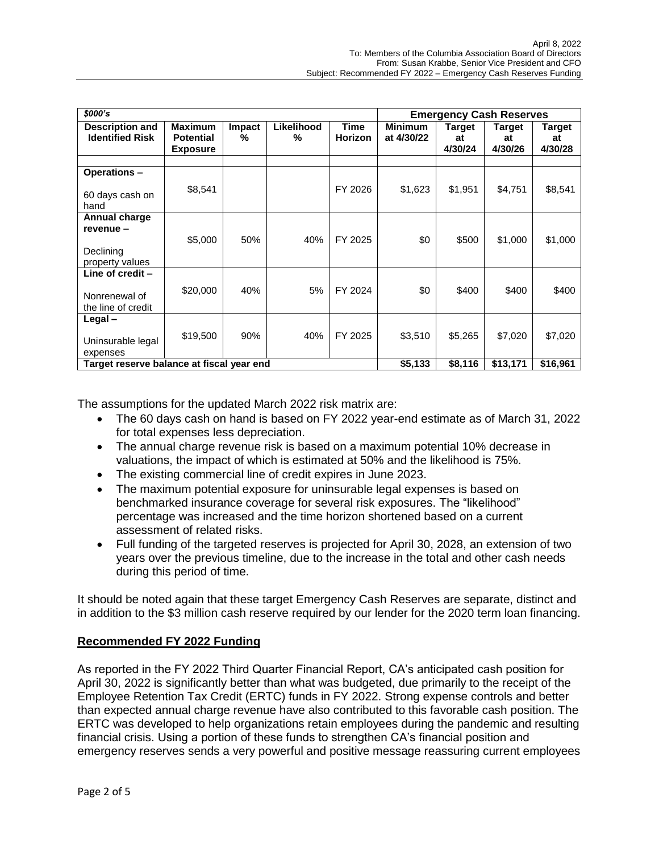| \$000's                                                            |                                                       |             |                 |                               | <b>Emergency Cash Reserves</b> |                         |                         |                         |
|--------------------------------------------------------------------|-------------------------------------------------------|-------------|-----------------|-------------------------------|--------------------------------|-------------------------|-------------------------|-------------------------|
| <b>Description and</b><br><b>Identified Risk</b>                   | <b>Maximum</b><br><b>Potential</b><br><b>Exposure</b> | Impact<br>% | Likelihood<br>% | <b>Time</b><br><b>Horizon</b> | <b>Minimum</b><br>at 4/30/22   | Target<br>at<br>4/30/24 | Target<br>at<br>4/30/26 | Target<br>at<br>4/30/28 |
| Operations-<br>60 days cash on                                     | \$8,541                                               |             |                 | FY 2026                       | \$1,623                        | \$1,951                 | \$4,751                 | \$8,541                 |
| hand<br>Annual charge<br>revenue -<br>Declining<br>property values | \$5,000                                               | 50%         | 40%             | FY 2025                       | \$0                            | \$500                   | \$1,000                 | \$1,000                 |
| Line of credit -<br>Nonrenewal of<br>the line of credit            | \$20,000                                              | 40%         | 5%              | FY 2024                       | \$0                            | \$400                   | \$400                   | \$400                   |
| Legal-<br>Uninsurable legal<br>expenses                            | \$19,500                                              | 90%         | 40%             | FY 2025                       | \$3,510                        | \$5,265                 | \$7,020                 | \$7,020                 |
| Target reserve balance at fiscal year end                          |                                                       |             |                 |                               | \$5,133                        | \$8,116                 | \$13,171                | \$16,961                |

The assumptions for the updated March 2022 risk matrix are:

- The 60 days cash on hand is based on FY 2022 year-end estimate as of March 31, 2022 for total expenses less depreciation.
- The annual charge revenue risk is based on a maximum potential 10% decrease in valuations, the impact of which is estimated at 50% and the likelihood is 75%.
- The existing commercial line of credit expires in June 2023.
- The maximum potential exposure for uninsurable legal expenses is based on benchmarked insurance coverage for several risk exposures. The "likelihood" percentage was increased and the time horizon shortened based on a current assessment of related risks.
- Full funding of the targeted reserves is projected for April 30, 2028, an extension of two years over the previous timeline, due to the increase in the total and other cash needs during this period of time.

It should be noted again that these target Emergency Cash Reserves are separate, distinct and in addition to the \$3 million cash reserve required by our lender for the 2020 term loan financing.

#### **Recommended FY 2022 Funding**

As reported in the FY 2022 Third Quarter Financial Report, CA's anticipated cash position for April 30, 2022 is significantly better than what was budgeted, due primarily to the receipt of the Employee Retention Tax Credit (ERTC) funds in FY 2022. Strong expense controls and better than expected annual charge revenue have also contributed to this favorable cash position. The ERTC was developed to help organizations retain employees during the pandemic and resulting financial crisis. Using a portion of these funds to strengthen CA's financial position and emergency reserves sends a very powerful and positive message reassuring current employees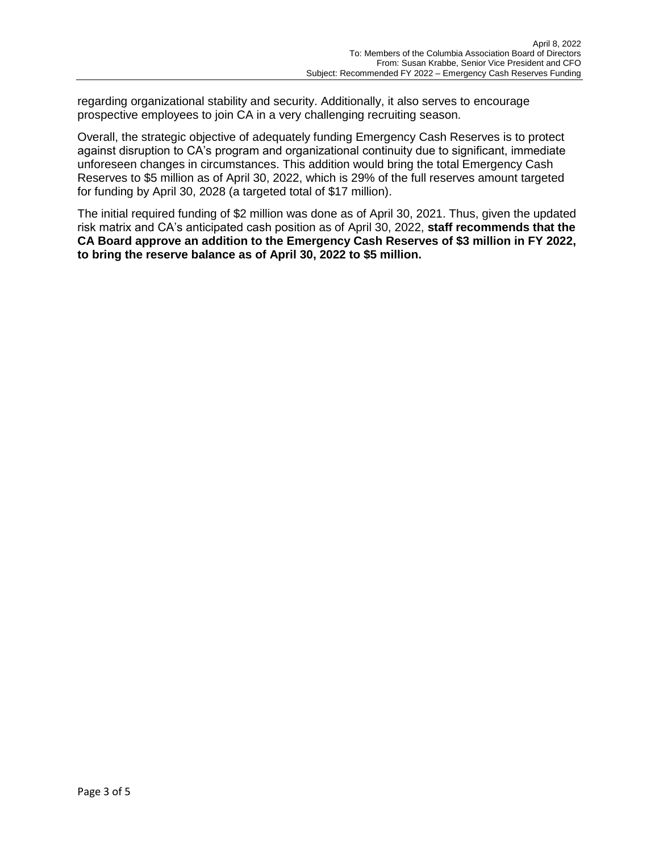regarding organizational stability and security. Additionally, it also serves to encourage prospective employees to join CA in a very challenging recruiting season.

Overall, the strategic objective of adequately funding Emergency Cash Reserves is to protect against disruption to CA's program and organizational continuity due to significant, immediate unforeseen changes in circumstances. This addition would bring the total Emergency Cash Reserves to \$5 million as of April 30, 2022, which is 29% of the full reserves amount targeted for funding by April 30, 2028 (a targeted total of \$17 million).

The initial required funding of \$2 million was done as of April 30, 2021. Thus, given the updated risk matrix and CA's anticipated cash position as of April 30, 2022, **staff recommends that the CA Board approve an addition to the Emergency Cash Reserves of \$3 million in FY 2022, to bring the reserve balance as of April 30, 2022 to \$5 million.**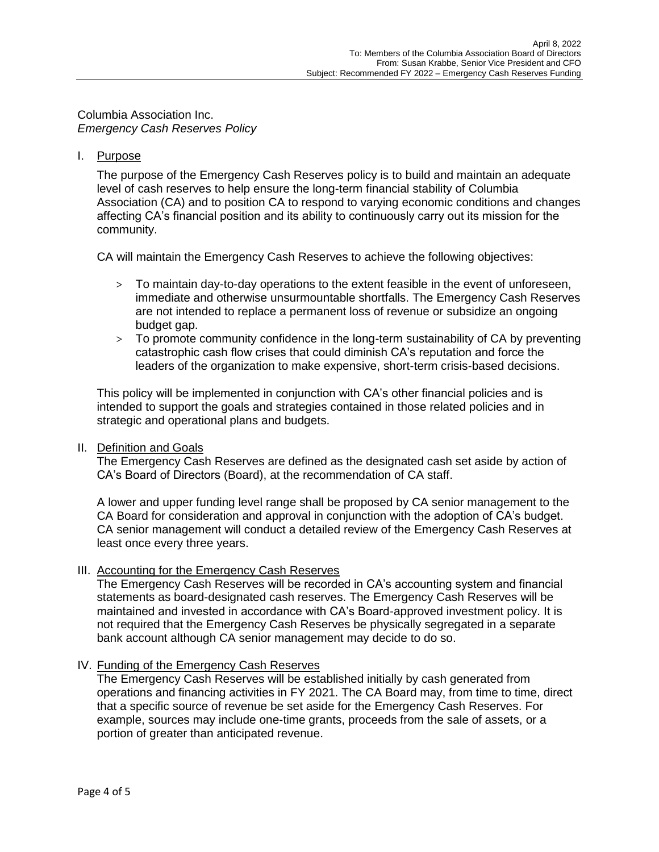Columbia Association Inc. *Emergency Cash Reserves Policy*

## I. Purpose

The purpose of the Emergency Cash Reserves policy is to build and maintain an adequate level of cash reserves to help ensure the long-term financial stability of Columbia Association (CA) and to position CA to respond to varying economic conditions and changes affecting CA's financial position and its ability to continuously carry out its mission for the community.

CA will maintain the Emergency Cash Reserves to achieve the following objectives:

- > To maintain day-to-day operations to the extent feasible in the event of unforeseen, immediate and otherwise unsurmountable shortfalls. The Emergency Cash Reserves are not intended to replace a permanent loss of revenue or subsidize an ongoing budget gap.
- > To promote community confidence in the long-term sustainability of CA by preventing catastrophic cash flow crises that could diminish CA's reputation and force the leaders of the organization to make expensive, short-term crisis-based decisions.

This policy will be implemented in conjunction with CA's other financial policies and is intended to support the goals and strategies contained in those related policies and in strategic and operational plans and budgets.

#### II. Definition and Goals

The Emergency Cash Reserves are defined as the designated cash set aside by action of CA's Board of Directors (Board), at the recommendation of CA staff.

A lower and upper funding level range shall be proposed by CA senior management to the CA Board for consideration and approval in conjunction with the adoption of CA's budget. CA senior management will conduct a detailed review of the Emergency Cash Reserves at least once every three years.

#### III. Accounting for the Emergency Cash Reserves

The Emergency Cash Reserves will be recorded in CA's accounting system and financial statements as board-designated cash reserves. The Emergency Cash Reserves will be maintained and invested in accordance with CA's Board-approved investment policy. It is not required that the Emergency Cash Reserves be physically segregated in a separate bank account although CA senior management may decide to do so.

# IV. Funding of the Emergency Cash Reserves

The Emergency Cash Reserves will be established initially by cash generated from operations and financing activities in FY 2021. The CA Board may, from time to time, direct that a specific source of revenue be set aside for the Emergency Cash Reserves. For example, sources may include one-time grants, proceeds from the sale of assets, or a portion of greater than anticipated revenue.